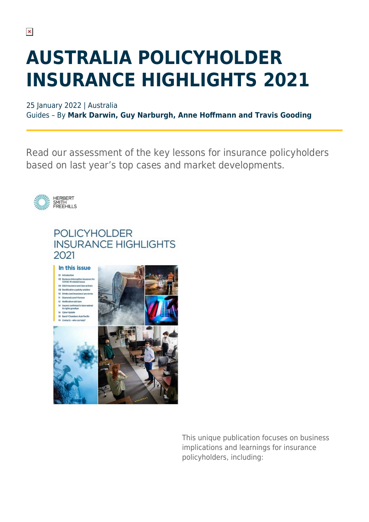## **AUSTRALIA POLICYHOLDER INSURANCE HIGHLIGHTS 2021**

25 January 2022 | Australia Guides – By **Mark Darwin, Guy Narburgh, Anne Hoffmann and Travis Gooding**

Read our assessment of the key lessons for insurance policyholders based on last year's top cases and market developments.



## **POLICYHOLDER INSURANCE HIGHLIGHTS** 2021



**Distriction form** .<br>Personali ana no .<br>Navel Tite nurer confirmed to t

Cyber Update Band 1 Chambers Asia Pacifi



This unique publication focuses on business implications and learnings for insurance policyholders, including: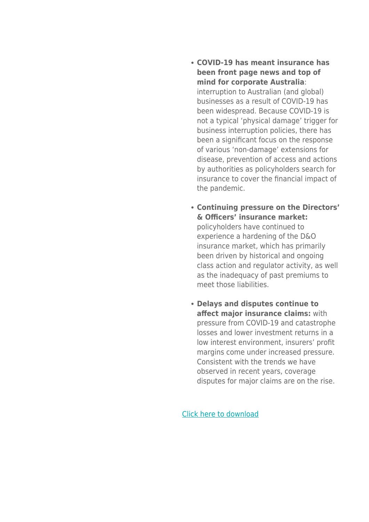- **COVID-19 has meant insurance has been front page news and top of mind for corporate Australia**: interruption to Australian (and global) businesses as a result of COVID-19 has been widespread. Because COVID-19 is not a typical 'physical damage' trigger for business interruption policies, there has been a significant focus on the response of various 'non-damage' extensions for disease, prevention of access and actions by authorities as policyholders search for insurance to cover the financial impact of the pandemic.
- **Continuing pressure on the Directors' & Officers' insurance market:** policyholders have continued to experience a hardening of the D&O insurance market, which has primarily been driven by historical and ongoing class action and regulator activity, as well as the inadequacy of past premiums to meet those liabilities.
- **Delays and disputes continue to affect major insurance claims:** with pressure from COVID-19 and catastrophe losses and lower investment returns in a low interest environment, insurers' profit margins come under increased pressure. Consistent with the trends we have observed in recent years, coverage disputes for major claims are on the rise.

[Click here to download](https://sites-herbertsmithfreehills.vuturevx.com/20/27465/landing-pages/policyholder-insurance-highlights-2021.pdf)